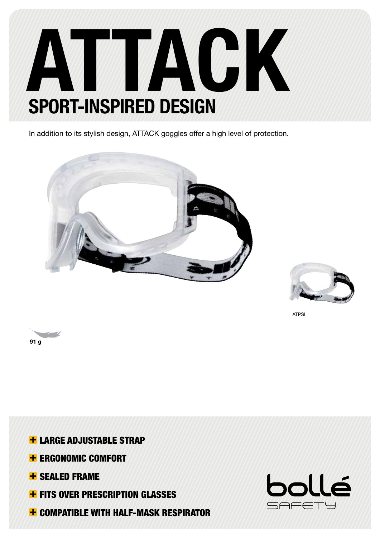# **ATTACK sPoRt-insPiRed design**

In addition to its stylish design, ATTACK goggles offer a high level of protection.





ATPSI

**91 g**

## **H** LARGE ADJUSTABLE STRAP

- **+ ERGONOMIC COMFORT**
- **+ SEALED FRAME**
- **+ FITS OVER PRESCRIPTION GLASSES**
- **+ Compatible with Half-Mask respirator**